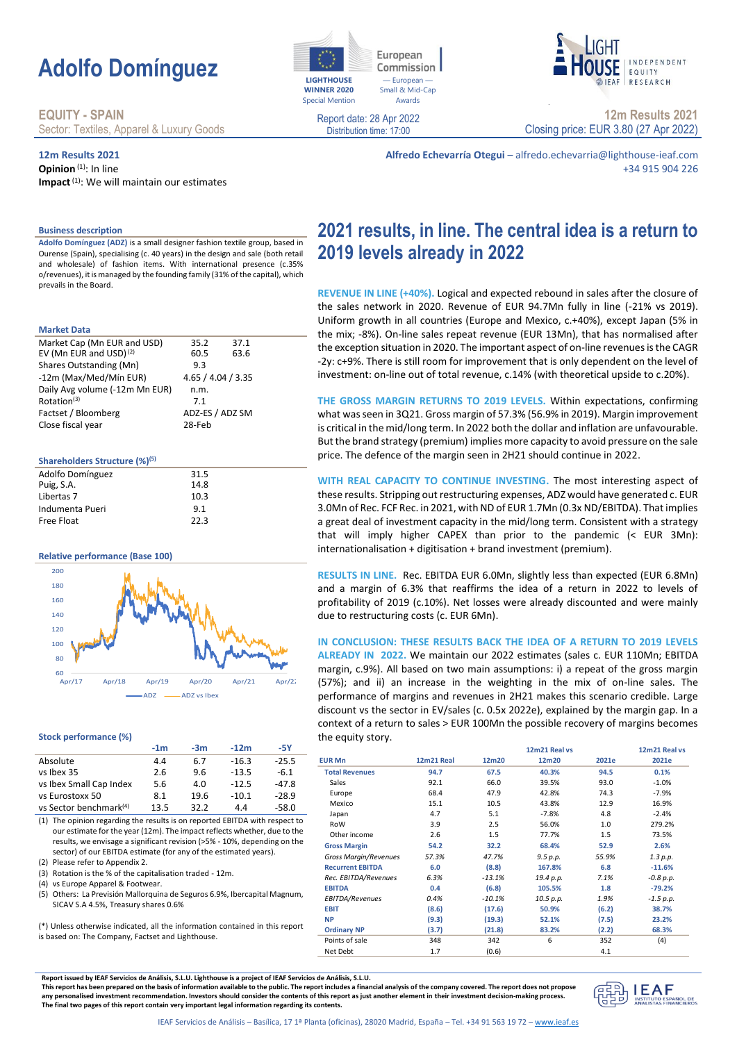# **Adolfo Domínguez**

# **EQUITY - SPAIN**

Sector: Textiles, Apparel & Luxury Goods

## **12m Results 2021**

**Business description**

prevails in the Board.

Shares Outstanding (Mn)

Factset / Bloomberg

Puig, S.A.

**Shareholders Structure (%)(5)**

**Relative performance (Base 100)**

**Stock performance (%)**

(2) Please refer to Appendix 2.

(4) vs Europe Apparel & Footwear.

vs Eurostoxx 50

(5) Others: La Previs  $SIPAYSAA5%$  $(*)$  Unless otherwise is based on: The Con

**Market Data**

**Opinion**<sup>(1)</sup>: In line **Impact**(1): We will maintain our estimates

Market Cap (Mn EUR and USD) 35.2 37.1 EV (Mn EUR and USD)<sup>(2)</sup> 60.5 63.6<br>Shares Outstanding (Mn) 9.3

-12m (Max/Med/Mín EUR) 4.65 / 4.04 / 3.35

Rotation<sup>(3)</sup> 7.1<br>Factset / Bloomberg ADZ-ES / ADZ SM

Daily Avg volume (-12m Mn EUR) n.m.

Close fiscal year 28-Feb

Adolfo Domínguez 31.5<br>Puig S A 31.4

Libertas 7 10.3 Indumenta Pueri 9.1 Free Float 22.3

**Adolfo Domínguez (ADZ)** is a small designer fashion textile group, based in Ourense (Spain), specialising (c. 40 years) in the design and sale (both retail and wholesale) of fashion items. With international presence (c.35% o/revenues), it is managed by the founding family (31% of the capital), which **2021 results, in line. The central idea is a return to** 

**Alfredo Echevarría Otegui** – alfredo.echevarria@lighthouse-ieaf.com

**REVENUE IN LINE (+40%).** Logical and expected rebound in sales after the closure of the sales network in 2020. Revenue of EUR 94.7Mn fully in line (-21% vs 2019). Uniform growth in all countries (Europe and Mexico, c.+40%), except Japan (5% in the mix; -8%). On-line sales repeat revenue (EUR 13Mn), that has normalised after the exception situation in 2020. The important aspect of on-line revenues is the CAGR -2y: c+9%. There is still room for improvement that is only dependent on the level of investment: on-line out of total revenue, c.14% (with theoretical upside to c.20%).

**THE GROSS MARGIN RETURNS TO 2019 LEVELS.** Within expectations, confirming what was seen in 3Q21. Gross margin of 57.3% (56.9% in 2019). Margin improvement is critical in the mid/long term. In 2022 both the dollar and inflation are unfavourable. But the brand strategy (premium) implies more capacity to avoid pressure on the sale price. The defence of the margin seen in 2H21 should continue in 2022.

these results. Stripping out restructuring expenses, ADZ would have generated c. EUR 3.0Mn of Rec. FCF Rec. in 2021, with ND of EUR 1.7Mn (0.3x ND/EBITDA). That implies a great deal of investment capacity in the mid/long term. Consistent with a strategy that will imply higher CAPEX than prior to the pandemic (< EUR 3Mn): internationalisation + digitisation + brand investment (premium).

**RESULTS IN LINE.** Rec. EBITDA EUR 6.0Mn, slightly less than expected (EUR 6.8Mn) and a margin of 6.3% that reaffirms the idea of a return in 2022 to levels of profitability of 2019 (c.10%). Net losses were already discounted and were mainly

**ALREADY IN 2022.** We maintain our 2022 estimates (sales c. EUR 110Mn; EBITDA margin, c.9%). All based on two main assumptions: i) a repeat of the gross margin (57%); and ii) an increase in the weighting in the mix of on-line sales. The performance of margins and revenues in 2H21 makes this scenario credible. Large discount vs the sector in EV/sales (c. 0.5x 2022e), explained by the margin gap. In a context of a return to sales > EUR 100Mn the possible recovery of margins becomes the equity story.

|                                                                                           |                    |       | $\cdots$ |  |
|-------------------------------------------------------------------------------------------|--------------------|-------|----------|--|
| ión Mallorquina de Seguros 6.9%, Ibercapital Magnum,                                      | EBITDA/Revenues    | 0.4%  | $-10.1%$ |  |
| Freasury shares 0.6%                                                                      | <b>EBIT</b>        | (8.6) | (17.6)   |  |
| indicated, all the information contained in this report<br>ipany, Factset and Lighthouse. | <b>NP</b>          | (9.3) | (19.3)   |  |
|                                                                                           | <b>Ordinary NP</b> | (3.7) | (21.8)   |  |
|                                                                                           | Points of sale     | 348   | 342      |  |
|                                                                                           | Net Debt           | 1.7   | (0.6)    |  |
|                                                                                           |                    |       |          |  |
|                                                                                           |                    |       |          |  |

**Report issued by IEAF Servicios de Análisis, S.L.U. Lighthouse is a project of IEAF Servicios de Análisis, S.L.U.**

**-1m -3m -12m -5Y**

Absolute 4.4 6.7 -16.3 -25.5 vs Ibex 35 2.6 9.6 -13.5 -6.1 vs Ibex Small Cap Index 5.6 4.0 -12.5 -47.8<br>vs Eurostoxx 50 8.1 19.6 -10.1 -28.9

Apr/17 Apr/18 Apr/19 Apr/20 Apr/21 Apr/22  $ADZ = ADZ$  vs Ibex

vs Sector benchmark<sup>(4)</sup> 13.5 32.2 4.4 -58.0 (1) The opinion regarding the results is on reported EBITDA with respect to our estimate for the year (12m). The impact reflects whether, due to the results, we envisage a significant revision (>5% - 10%, depending on the sector) of our EBITDA estimate (for any of the estimated years).

(3) Rotation is the % of the capitalisation traded - 12m.

**This report has been prepared on the basis of information available to the public. The report includes a financial analysis of the company covered. The report does not propose any personalised investment recommendation. Investors should consider the contents of this report as just another element in their investment decision-making process. The final two pages of this report contain very important legal information regarding its contents.**

# **2019 levels already in 2022**

**WITH REAL CAPACITY TO CONTINUE INVESTING.** The most interesting aspect of

due to restructuring costs (c. EUR 6Mn).

# **IN CONCLUSION: THESE RESULTS BACK THE IDEA OF A RETURN TO 2019 LEVELS**

|                              |            |          | 12m21 Real vs |       | 12m21 Real vs |
|------------------------------|------------|----------|---------------|-------|---------------|
| <b>EUR Mn</b>                | 12m21 Real | 12m20    | 12m20         | 2021e | 2021e         |
| <b>Total Revenues</b>        | 94.7       | 67.5     | 40.3%         | 94.5  | 0.1%          |
| Sales                        | 92.1       | 66.0     | 39.5%         | 93.0  | $-1.0%$       |
| Europe                       | 68.4       | 47.9     | 42.8%         | 74.3  | $-7.9%$       |
| Mexico                       | 15.1       | 10.5     | 43.8%         | 12.9  | 16.9%         |
| Japan                        | 4.7        | 5.1      | $-7.8%$       | 4.8   | $-2.4%$       |
| RoW                          | 3.9        | 2.5      | 56.0%         | 1.0   | 279.2%        |
| Other income                 | 2.6        | 1.5      | 77.7%         | 1.5   | 73.5%         |
| <b>Gross Margin</b>          | 54.2       | 32.2     | 68.4%         | 52.9  | 2.6%          |
| <b>Gross Margin/Revenues</b> | 57.3%      | 47.7%    | 9.5 p.p.      | 55.9% | 1.3 p.p.      |
| <b>Recurrent EBITDA</b>      | 6.0        | (8.8)    | 167.8%        | 6.8   | $-11.6%$      |
| Rec. EBITDA/Revenues         | 6.3%       | $-13.1%$ | 19.4 p.p.     | 7.1%  | $-0.8 p.p.$   |
| <b>EBITDA</b>                | 0.4        | (6.8)    | 105.5%        | 1.8   | $-79.2%$      |
| EBITDA/Revenues              | 0.4%       | $-10.1%$ | 10.5 p.p.     | 1.9%  | $-1.5 p.p.$   |
| <b>EBIT</b>                  | (8.6)      | (17.6)   | 50.9%         | (6.2) | 38.7%         |
| <b>NP</b>                    | (9.3)      | (19.3)   | 52.1%         | (7.5) | 23.2%         |
| <b>Ordinary NP</b>           | (3.7)      | (21.8)   | 83.2%         | (2.2) | 68.3%         |
| Points of sale               | 348        | 342      | 6             | 352   | (4)           |
| Net Debt                     | 1.7        | (0.6)    |               | 4.1   |               |





Awards

Report date: 28 Apr 2022 Distribution time: 17:00



**12m Results 2021** Closing price: EUR 3.80 (27 Apr 2022)

+34 915 904 226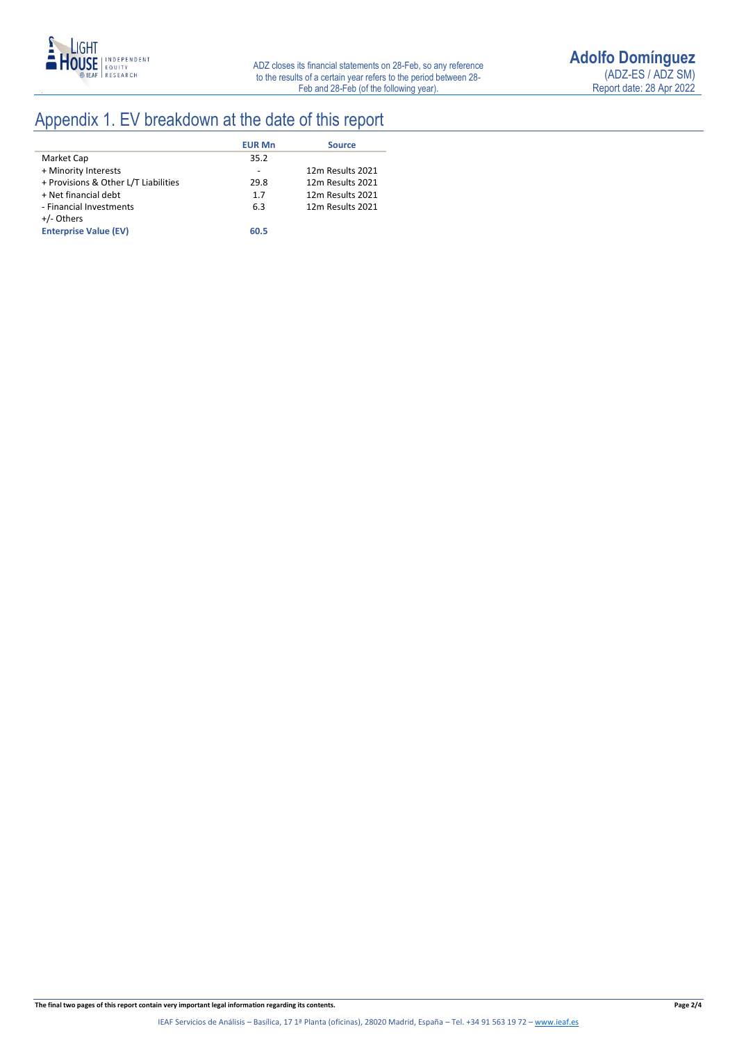

# Appendix 1. EV breakdown at the date of this report

|                                      | <b>EUR Mn</b> | <b>Source</b>    |
|--------------------------------------|---------------|------------------|
| Market Cap                           | 35.2          |                  |
| + Minority Interests                 |               | 12m Results 2021 |
| + Provisions & Other L/T Liabilities | 29.8          | 12m Results 2021 |
| + Net financial debt                 | 1.7           | 12m Results 2021 |
| - Financial Investments              | 6.3           | 12m Results 2021 |
| +/- Others                           |               |                  |
| <b>Enterprise Value (EV)</b>         | 60.5          |                  |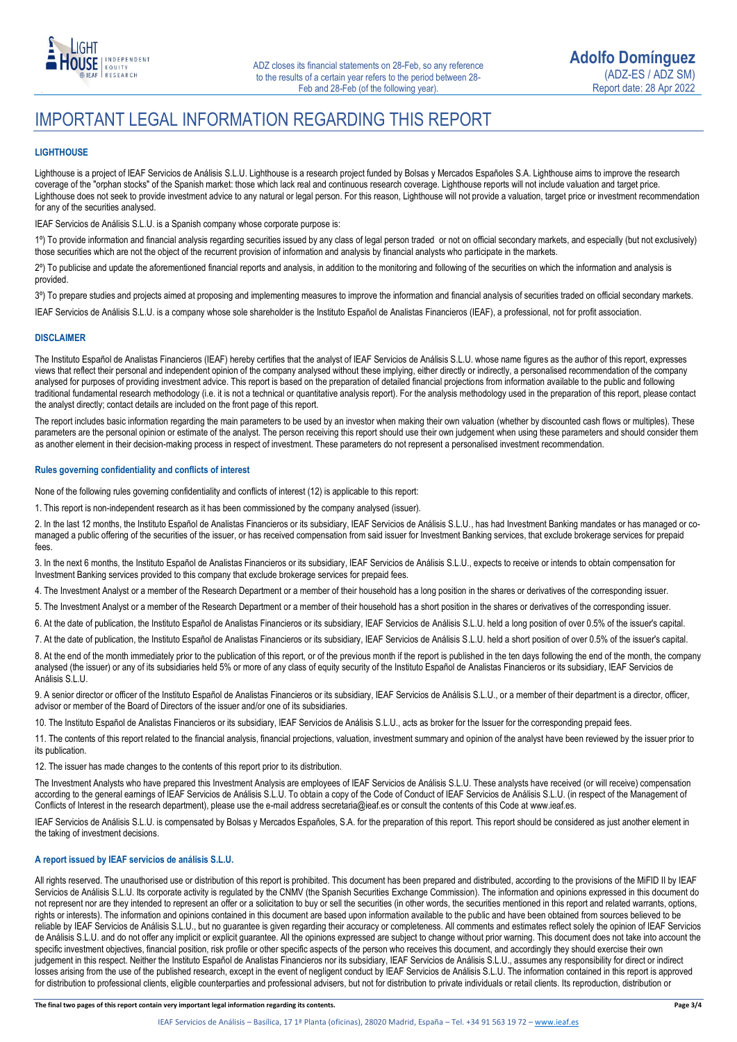

# IMPORTANT LEGAL INFORMATION REGARDING THIS REPORT

### **LIGHTHOUSE**

Lighthouse is a project of IEAF Servicios de Análisis S.L.U. Lighthouse is a research project funded by Bolsas y Mercados Españoles S.A. Lighthouse aims to improve the research coverage of the "orphan stocks" of the Spanish market: those which lack real and continuous research coverage. Lighthouse reports will not include valuation and target price. Lighthouse does not seek to provide investment advice to any natural or legal person. For this reason, Lighthouse will not provide a valuation, target price or investment recommendation for any of the securities analysed.

IEAF Servicios de Análisis S.L.U. is a Spanish company whose corporate purpose is:

1º) To provide information and financial analysis regarding securities issued by any class of legal person traded or not on official secondary markets, and especially (but not exclusively) those securities which are not the object of the recurrent provision of information and analysis by financial analysts who participate in the markets.

2º) To publicise and update the aforementioned financial reports and analysis, in addition to the monitoring and following of the securities on which the information and analysis is provided.

3º) To prepare studies and projects aimed at proposing and implementing measures to improve the information and financial analysis of securities traded on official secondary markets.

IEAF Servicios de Análisis S.L.U. is a company whose sole shareholder is the Instituto Español de Analistas Financieros (IEAF), a professional, not for profit association.

#### **DISCLAIMER**

The Instituto Español de Analistas Financieros (IEAF) hereby certifies that the analyst of IEAF Servicios de Análisis S.L.U. whose name figures as the author of this report, expresses views that reflect their personal and independent opinion of the company analysed without these implying, either directly or indirectly, a personalised recommendation of the company analysed for purposes of providing investment advice. This report is based on the preparation of detailed financial projections from information available to the public and following traditional fundamental research methodology (i.e. it is not a technical or quantitative analysis report). For the analysis methodology used in the preparation of this report, please contact the analyst directly; contact details are included on the front page of this report.

The report includes basic information regarding the main parameters to be used by an investor when making their own valuation (whether by discounted cash flows or multiples). These parameters are the personal opinion or estimate of the analyst. The person receiving this report should use their own judgement when using these parameters and should consider them as another element in their decision-making process in respect of investment. These parameters do not represent a personalised investment recommendation.

#### **Rules governing confidentiality and conflicts of interest**

None of the following rules governing confidentiality and conflicts of interest (12) is applicable to this report:

1. This report is non-independent research as it has been commissioned by the company analysed (issuer).

2. In the last 12 months, the Instituto Español de Analistas Financieros or its subsidiary, IEAF Servicios de Análisis S.L.U., has had Investment Banking mandates or has managed or comanaged a public offering of the securities of the issuer, or has received compensation from said issuer for Investment Banking services, that exclude brokerage services for prepaid fees.

3. In the next 6 months, the Instituto Español de Analistas Financieros or its subsidiary, IEAF Servicios de Análisis S.L.U., expects to receive or intends to obtain compensation for Investment Banking services provided to this company that exclude brokerage services for prepaid fees.

4. The Investment Analyst or a member of the Research Department or a member of their household has a long position in the shares or derivatives of the corresponding issuer.

5. The Investment Analyst or a member of the Research Department or a member of their household has a short position in the shares or derivatives of the corresponding issuer.

6. At the date of publication, the Instituto Español de Analistas Financieros or its subsidiary, IEAF Servicios de Análisis S.L.U. held a long position of over 0.5% of the issuer's capital.

7. At the date of publication, the Instituto Español de Analistas Financieros or its subsidiary, IEAF Servicios de Análisis S.L.U. held a short position of over 0.5% of the issuer's capital.

8. At the end of the month immediately prior to the publication of this report, or of the previous month if the report is published in the ten days following the end of the month, the company analysed (the issuer) or any of its subsidiaries held 5% or more of any class of equity security of the Instituto Español de Analistas Financieros or its subsidiary, IEAF Servicios de Análisis S.L.U.

9. A senior director or officer of the Instituto Español de Analistas Financieros or its subsidiary, IEAF Servicios de Análisis S.L.U., or a member of their department is a director, officer, advisor or member of the Board of Directors of the issuer and/or one of its subsidiaries.

10. The Instituto Español de Analistas Financieros or its subsidiary, IEAF Servicios de Análisis S.L.U., acts as broker for the Issuer for the corresponding prepaid fees.

11. The contents of this report related to the financial analysis, financial projections, valuation, investment summary and opinion of the analyst have been reviewed by the issuer prior to its publication.

12. The issuer has made changes to the contents of this report prior to its distribution.

The Investment Analysts who have prepared this Investment Analysis are employees of IEAF Servicios de Análisis S.L.U. These analysts have received (or will receive) compensation according to the general earnings of IEAF Servicios de Análisis S.L.U. To obtain a copy of the Code of Conduct of IEAF Servicios de Análisis S.L.U. (in respect of the Management of Conflicts of Interest in the research department), please use the e-mail address secretaria@ieaf.es or consult the contents of this Code at [www.ieaf.es.](https://www.ieaf.es/images/IEAF/LIGHTHOUSE/IEAF_LIGHTHOUSE_CodigoDeConducta.pdf) 

IEAF Servicios de Análisis S.L.U. is compensated by Bolsas y Mercados Españoles, S.A. for the preparation of this report. This report should be considered as just another element in the taking of investment decisions.

### **A report issued by IEAF servicios de análisis S.L.U.**

All rights reserved. The unauthorised use or distribution of this report is prohibited. This document has been prepared and distributed, according to the provisions of the MiFID II by IEAF Servicios de Análisis S.L.U. Its corporate activity is regulated by the CNMV (the Spanish Securities Exchange Commission). The information and opinions expressed in this document do not represent nor are they intended to represent an offer or a solicitation to buy or sell the securities (in other words, the securities mentioned in this report and related warrants, options, rights or interests). The information and opinions contained in this document are based upon information available to the public and have been obtained from sources believed to be reliable by IEAF Servicios de Análisis S.L.U., but no guarantee is given regarding their accuracy or completeness. All comments and estimates reflect solely the opinion of IEAF Servicios de Análisis S.L.U. and do not offer any implicit or explicit guarantee. All the opinions expressed are subject to change without prior warning. This document does not take into account the specific investment objectives, financial position, risk profile or other specific aspects of the person who receives this document, and accordingly they should exercise their own judgement in this respect. Neither the Instituto Español de Analistas Financieros nor its subsidiary, IEAF Servicios de Análisis S.L.U., assumes any responsibility for direct or indirect losses arising from the use of the published research, except in the event of negligent conduct by IEAF Servicios de Análisis S.L.U. The information contained in this report is approved for distribution to professional clients, eligible counterparties and professional advisers, but not for distribution to private individuals or retail clients. Its reproduction, distribution or